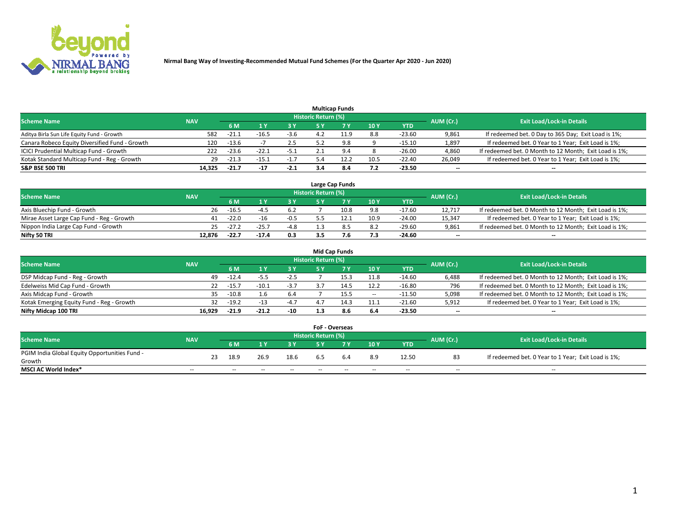

|                                                |            |         |         |        |                     | <b>Multicap Funds</b> |                 |          |           |                                                        |
|------------------------------------------------|------------|---------|---------|--------|---------------------|-----------------------|-----------------|----------|-----------|--------------------------------------------------------|
| <b>Scheme Name</b>                             | <b>NAV</b> |         |         |        | Historic Return (%) |                       |                 |          | AUM (Cr.) | <b>Exit Load/Lock-in Details</b>                       |
|                                                |            | 6 M     |         |        |                     |                       | 10 <sub>1</sub> | YTD      |           |                                                        |
| Aditya Birla Sun Life Equity Fund - Growth     | 582        | -21.1   | -16.5   | $-3.6$ |                     |                       | 8.8             | $-23.60$ | 9,861     | If redeemed bet. 0 Day to 365 Day; Exit Load is 1%;    |
| Canara Robeco Equity Diversified Fund - Growth | 120        | $-13.6$ |         | 2.5    |                     | 9.8                   | o               | $-15.10$ | 1,897     | If redeemed bet. 0 Year to 1 Year; Exit Load is 1%;    |
| ICICI Prudential Multicap Fund - Growth        | 222        | $-23.6$ | $-22.1$ | -5.1   |                     |                       |                 | $-26.00$ | 4,860     | If redeemed bet. 0 Month to 12 Month; Exit Load is 1%; |
| Kotak Standard Multicap Fund - Reg - Growth    | 29         | $-21.3$ | $-15.$  | $-1.7$ |                     | 12.2                  | 10.5            | $-22.40$ | 26,049    | If redeemed bet. 0 Year to 1 Year; Exit Load is 1%;    |
| <b>S&amp;P BSE 500 TRI</b>                     | 14,325     | $-21.7$ | $-17$   | $-2.1$ |                     | 8.4                   | 7.2             | $-23.50$ | $- -$     | $\overline{\phantom{a}}$                               |

|                                           |            |         |         |        |                     | Large Cap Funds |      |            |                          |                                                        |
|-------------------------------------------|------------|---------|---------|--------|---------------------|-----------------|------|------------|--------------------------|--------------------------------------------------------|
| <b>Scheme Name</b>                        | <b>NAV</b> |         |         |        | Historic Return (%) |                 |      |            | AUM (Cr.)                | <b>Exit Load/Lock-in Details</b>                       |
|                                           |            | 6 M     |         | 3 Y    |                     |                 | 10Y  | <b>YTD</b> |                          |                                                        |
| Axis Bluechip Fund - Growth               | 26         | $-16.5$ | -4      | 6.2    |                     | 10.8            | 9.8  | -17.60     | 12.717                   | If redeemed bet. 0 Month to 12 Month; Exit Load is 1%; |
| Mirae Asset Large Cap Fund - Reg - Growth | 41         | $-22.0$ |         | $-0.5$ |                     |                 | 10.9 | $-24.00$   | 15.347                   | If redeemed bet. 0 Year to 1 Year; Exit Load is 1%;    |
| Nippon India Large Cap Fund - Growth      | 25.        | $-27.2$ | $-25.$  | $-4.8$ |                     |                 | 8.2  | -29.60     | 9,861                    | If redeemed bet. 0 Month to 12 Month; Exit Load is 1%; |
| Nifty 50 TRI                              | 12.876     | -22.7   | $-17.4$ | 0.3    |                     |                 | 7.3  | -24.60     | $\overline{\phantom{a}}$ | $\overline{\phantom{a}}$                               |

|                                           |            |         |         |        |                     | <b>Mid Cap Funds</b> |       |            |                          |                                                        |
|-------------------------------------------|------------|---------|---------|--------|---------------------|----------------------|-------|------------|--------------------------|--------------------------------------------------------|
| <b>Scheme Name</b>                        | <b>NAV</b> |         |         |        | Historic Return (%) |                      |       |            | AUM (Cr.)                | <b>Exit Load/Lock-in Details</b>                       |
|                                           |            | 6 M     |         | 3Y     |                     |                      | 10Y   | <b>YTD</b> |                          |                                                        |
| DSP Midcap Fund - Reg - Growth            | 49         | $-12.4$ | -5.5    | $-2.5$ |                     |                      | 11.8  | $-14.60$   | 6,488                    | If redeemed bet. 0 Month to 12 Month; Exit Load is 1%; |
| Edelweiss Mid Cap Fund - Growth           | 22         | $-15.$  | $-10.1$ | $-3.7$ |                     |                      | 12.2  | $-16.80$   | 796                      | If redeemed bet. 0 Month to 12 Month; Exit Load is 1%; |
| Axis Midcap Fund - Growth                 | 35.        | $-10.8$ |         | 6.4    |                     | 15.5                 | $- -$ | -11.50     | 5,098                    | If redeemed bet. 0 Month to 12 Month; Exit Load is 1%; |
| Kotak Emerging Equity Fund - Reg - Growth | 32         | $-19.2$ |         | $-4.7$ | 4.7                 | 14.3                 | 11.1  | $-21.60$   | 5,912                    | If redeemed bet. 0 Year to 1 Year; Exit Load is 1%;    |
| Nifty Midcap 100 TRI                      | 16.929     | $-21.9$ | $-21.2$ | $-10$  |                     | 8.6                  | 6.4   | $-23.50$   | $\overline{\phantom{a}}$ | $\overline{\phantom{a}}$                               |

|                                               |            |    |      |      |        | <b>FoF - Overseas</b> |     |               |            |           |                                                     |
|-----------------------------------------------|------------|----|------|------|--------|-----------------------|-----|---------------|------------|-----------|-----------------------------------------------------|
| <b>Scheme Name</b>                            | <b>NAV</b> |    |      |      |        | Historic Return (%)   |     |               |            | AUM (Cr.) | <b>Exit Load/Lock-in Details</b>                    |
|                                               |            |    | 6 M  |      |        |                       |     | $\sqrt{10}$ Y | <b>YTD</b> |           |                                                     |
| PGIM India Global Equity Opportunities Fund - |            | 23 | 18.9 | 26.9 | 18.6   |                       | 6.4 | 8.9           | 12.50      | 83        | If redeemed bet. 0 Year to 1 Year; Exit Load is 1%; |
| Growth                                        |            |    |      |      |        | 6.5                   |     |               |            |           |                                                     |
| <b>MSCI AC World Index*</b>                   | $- -$      |    | $-$  | --   | $\sim$ | $- -$                 | --  | $-$           | $-$        | $-$       | $-$                                                 |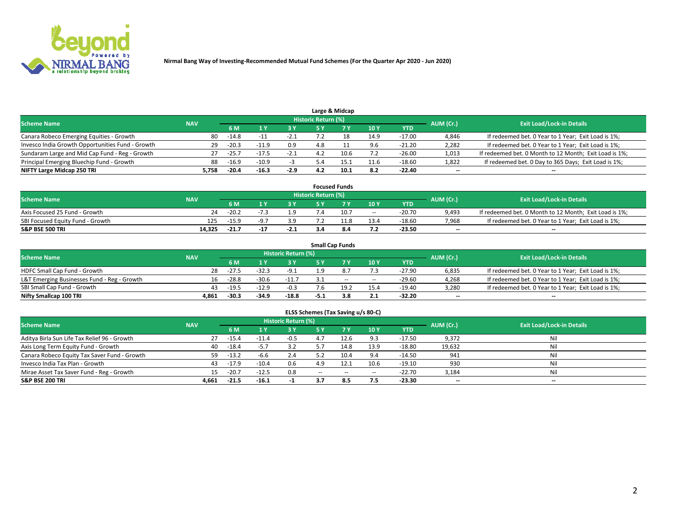

|                                                  |            |         |         |        |                     | Large & Midcap |      |            |                          |                                                        |
|--------------------------------------------------|------------|---------|---------|--------|---------------------|----------------|------|------------|--------------------------|--------------------------------------------------------|
| <b>Scheme Name</b>                               | <b>NAV</b> |         |         |        | Historic Return (%) |                |      |            | AUM (Cr.)                | <b>Exit Load/Lock-in Details</b>                       |
|                                                  |            | 6 M     |         |        |                     |                | 10Y  | <b>YTD</b> |                          |                                                        |
| Canara Robeco Emerging Equities - Growth         | 80         | $-14.8$ |         | -2.1   |                     |                | 14.9 | $-17.00$   | 4,846                    | If redeemed bet. 0 Year to 1 Year; Exit Load is 1%;    |
| Invesco India Growth Opportunities Fund - Growth | 29         | $-20.3$ | $-11Q$  | 0.9    | 4.8                 |                | 9.6  | $-21.20$   | 2,282                    | If redeemed bet. 0 Year to 1 Year; Exit Load is 1%;    |
| Sundaram Large and Mid Cap Fund - Reg - Growth   | 27         | $-25.7$ | $-17.5$ | $-2.1$ |                     | 10.6           | 7.2  | $-26.00$   | 1,013                    | If redeemed bet. 0 Month to 12 Month; Exit Load is 1%; |
| Principal Emerging Bluechip Fund - Growth        | 88         | $-16.9$ | $-10.9$ |        |                     | 15.1           | 11.6 | $-18.60$   | 1,822                    | If redeemed bet. 0 Day to 365 Days; Exit Load is 1%;   |
| NIFTY Large Midcap 250 TRI                       | 5.758      | $-20.4$ | $-16.3$ | $-2.9$ | 4.2                 | 10.1           | 8.2  | $-22.40$   | $\overline{\phantom{a}}$ | $\overline{\phantom{a}}$                               |

|                                  |            |         |        |        |                     | <b>Focused Funds</b> |        |          |                          |                                                        |
|----------------------------------|------------|---------|--------|--------|---------------------|----------------------|--------|----------|--------------------------|--------------------------------------------------------|
| <b>Scheme Name</b>               | <b>NAV</b> |         |        |        | Historic Return (%) |                      |        |          | AUM (Cr.)                | <b>Exit Load/Lock-in Details</b>                       |
|                                  |            | 6 M     |        |        |                     |                      | 10Y    | YTD      |                          |                                                        |
| Axis Focused 25 Fund - Growth    | 24         | $-20.2$ |        | 1.9    |                     | 10.7                 | $\sim$ | $-20.70$ | 9,493                    | If redeemed bet. 0 Month to 12 Month; Exit Load is 1%; |
| SBI Focused Equity Fund - Growth | 125        | $-15.9$ |        | 3.9    |                     |                      | 13.4   | $-18.60$ | 7,968                    | If redeemed bet. 0 Year to 1 Year; Exit Load is 1%;    |
| <b>S&amp;P BSE 500 TRI</b>       | 14.325     | $-21.7$ | $-1.5$ | $-2.1$ |                     |                      | 7.2    | $-23.50$ | $\overline{\phantom{a}}$ | $\overline{\phantom{a}}$                               |

|                                             |            |                                  |         |         |      | <b>Small Cap Funds</b> |       |            |                          |                                                     |
|---------------------------------------------|------------|----------------------------------|---------|---------|------|------------------------|-------|------------|--------------------------|-----------------------------------------------------|
| <b>Scheme Name</b>                          | AUM (Cr.)  | <b>Exit Load/Lock-in Details</b> |         |         |      |                        |       |            |                          |                                                     |
|                                             | <b>NAV</b> | 6 M                              |         | 3 Y     |      |                        | 10Y   | <b>YTD</b> |                          |                                                     |
| HDFC Small Cap Fund - Growth                | 28         | $-27.5$                          | $-32.3$ | $-9.1$  | 1 Q  |                        |       | -27.90     | 6,835                    | If redeemed bet. 0 Year to 1 Year; Exit Load is 1%; |
| L&T Emerging Businesses Fund - Reg - Growth | 16         | $-28.8$                          | $-30.6$ | $-11.7$ |      | $\sim$                 | $- -$ | $-29.60$   | 4,268                    | If redeemed bet. 0 Year to 1 Year; Exit Load is 1%; |
| SBI Small Cap Fund - Growth                 |            | $-19.5$                          | $-12.9$ | $-0.3$  | 7.6  | 19.2                   | 15.4  | -19.40     | 3.280                    | If redeemed bet. 0 Year to 1 Year; Exit Load is 1%; |
| Nifty Smallcap 100 TRI                      | 4.861      | $-30.3$                          | $-34.9$ | $-18.8$ | -5.1 |                        | 2.1   | -32.20     | $\overline{\phantom{a}}$ | $\overline{\phantom{a}}$                            |

| ELSS Schemes (Tax Saving u/s 80-C)                                                                              |       |         |         |           |        |            |        |            |                          |                          |  |  |  |  |
|-----------------------------------------------------------------------------------------------------------------|-------|---------|---------|-----------|--------|------------|--------|------------|--------------------------|--------------------------|--|--|--|--|
| <b>Historic Return (%)</b><br><b>Exit Load/Lock-in Details</b><br><b>Scheme Name</b><br><b>NAV</b><br>AUM (Cr.) |       |         |         |           |        |            |        |            |                          |                          |  |  |  |  |
|                                                                                                                 |       | 6 M     | 1 Y     | <b>3Y</b> | 5 Y    | <i>1</i> V | 10Y    | <b>YTD</b> |                          |                          |  |  |  |  |
| Aditya Birla Sun Life Tax Relief 96 - Growth                                                                    | 27    | $-15.4$ | $-11.4$ | $-0.5$    | 4.7    | 12.6       | 9.3    | $-17.50$   | 9,372                    | Nil                      |  |  |  |  |
| Axis Long Term Equity Fund - Growth                                                                             | 40    | $-18.4$ | $-5.7$  | 3.2       | 5.7    | 14.8       | 13.9   | $-18.80$   | 19,632                   | Nil                      |  |  |  |  |
| Canara Robeco Equity Tax Saver Fund - Growth                                                                    | 59    | $-13.2$ | $-6.6$  | 2.4       | 5.2    | 10.4       | 9.4    | $-14.50$   | 941                      | Nil                      |  |  |  |  |
| Invesco India Tax Plan - Growth                                                                                 | 43    | $-17.9$ | $-10.4$ | 0.6       | 4.9    | 12.1       | 10.6   | $-19.10$   | 930                      | Nil                      |  |  |  |  |
| Mirae Asset Tax Saver Fund - Reg - Growth                                                                       | 15    | $-20.7$ | $-12.5$ | 0.8       | $\sim$ | $\sim$     | $\sim$ | $-22.70$   | 3,184                    | Nil                      |  |  |  |  |
| S&P BSE 200 TRI                                                                                                 | 4,661 | $-21.5$ | $-16.1$ |           | 3.7    | 8.5        | 7.5    | $-23.30$   | $\overline{\phantom{a}}$ | $\overline{\phantom{a}}$ |  |  |  |  |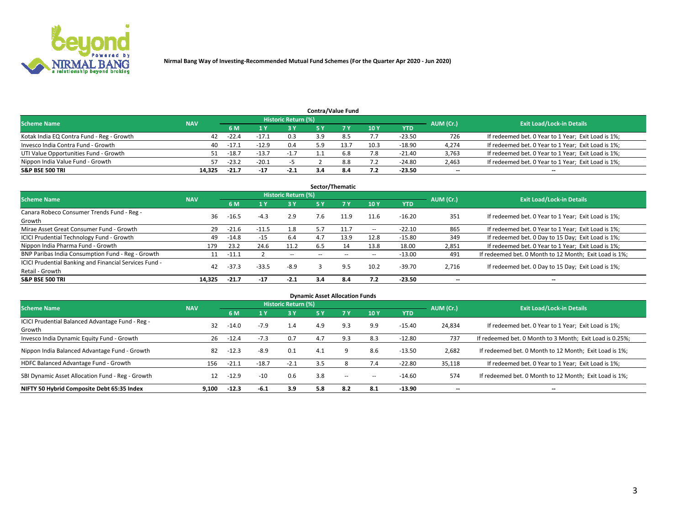

|                                           |            |         |         |                            |     | <b>Contra/Value Fund</b> |      |            |           |                                                     |
|-------------------------------------------|------------|---------|---------|----------------------------|-----|--------------------------|------|------------|-----------|-----------------------------------------------------|
| <b>Scheme Name</b>                        | <b>NAV</b> |         |         | <b>Historic Return (%)</b> |     |                          |      |            | AUM (Cr.) | <b>Exit Load/Lock-in Details</b>                    |
|                                           |            | 6 M     |         | 3 Y                        |     |                          | 10Y  | <b>YTD</b> |           |                                                     |
| Kotak India EQ Contra Fund - Reg - Growth | 42         | $-22.4$ | $-17.1$ | 0.3                        |     |                          | 7.7  | $-23.50$   | 726       | If redeemed bet. 0 Year to 1 Year; Exit Load is 1%; |
| Invesco India Contra Fund - Growth        | 40         | -17.1   | $-12.9$ | 0.4                        | : ດ | 13.7                     | 10.3 | $-18.90$   | 4,274     | If redeemed bet. 0 Year to 1 Year; Exit Load is 1%; |
| UTI Value Opportunities Fund - Growth     | 51         | $-18.7$ | $-13.7$ | $-1.7$                     |     | 6.8                      | 7.8  | $-21.40$   | 3,763     | If redeemed bet. 0 Year to 1 Year; Exit Load is 1%; |
| Nippon India Value Fund - Growth          | 57         | $-23.2$ | $-20.1$ |                            |     | 8.8                      | 7.2  | $-24.80$   | 2,463     | If redeemed bet. 0 Year to 1 Year; Exit Load is 1%; |
| <b>S&amp;P BSE 500 TRI</b>                | 14.325     | $-21.7$ | $-17$   | $-2.1$                     |     | 8.4                      | 7.2  | $-23.50$   | $-$       | $-$                                                 |

| Sector/Thematic                                                           |            |         |         |                            |     |      |        |          |           |                                                        |  |  |  |
|---------------------------------------------------------------------------|------------|---------|---------|----------------------------|-----|------|--------|----------|-----------|--------------------------------------------------------|--|--|--|
| <b>Scheme Name</b>                                                        | <b>NAV</b> |         |         | <b>Historic Return (%)</b> |     |      |        |          | AUM (Cr.) | <b>Exit Load/Lock-in Details</b>                       |  |  |  |
|                                                                           |            | 6 M     |         | 3 Y                        | 5 Y |      | 10Y    | YTD      |           |                                                        |  |  |  |
| Canara Robeco Consumer Trends Fund - Reg -<br>Growth                      | 36         | $-16.5$ | $-4.3$  | 2.9                        | 7.6 | 11.9 | 11.6   | $-16.20$ | 351       | If redeemed bet. 0 Year to 1 Year; Exit Load is 1%;    |  |  |  |
| Mirae Asset Great Consumer Fund - Growth                                  | 29         | $-21.6$ | $-11.5$ | 1.8                        | 5.7 |      | $\sim$ | $-22.10$ | 865       | If redeemed bet. 0 Year to 1 Year; Exit Load is 1%;    |  |  |  |
| <b>ICICI Prudential Technology Fund - Growth</b>                          | 49         | $-14.8$ | $-15$   | 6.4                        | 4.7 | 13.9 | 12.8   | $-15.80$ | 349       | If redeemed bet. 0 Day to 15 Day; Exit Load is 1%;     |  |  |  |
| Nippon India Pharma Fund - Growth                                         | 179        | 23.2    | 24.6    | 11.2                       | 6.5 | 14   | 13.8   | 18.00    | 2,851     | If redeemed bet. 0 Year to 1 Year; Exit Load is 1%;    |  |  |  |
| BNP Paribas India Consumption Fund - Reg - Growth                         | 11         | $-11.1$ |         | $\sim$                     |     |      | $\sim$ | $-13.00$ | 491       | If redeemed bet. 0 Month to 12 Month; Exit Load is 1%; |  |  |  |
| ICICI Prudential Banking and Financial Services Fund -<br>Retail - Growth | 42         | $-37.3$ | $-33.5$ | $-8.9$                     |     | 9.5  | 10.2   | $-39.70$ | 2,716     | If redeemed bet. 0 Day to 15 Day; Exit Load is 1%;     |  |  |  |
| <b>S&amp;P BSE 500 TRI</b>                                                | 14.325     | $-21.7$ | $-17$   | $-2.1$                     | 3.4 | -8.4 | 7.2    | $-23.50$ | $- -$     | $\overline{\phantom{a}}$                               |  |  |  |

| <b>Dynamic Asset Allocation Funds</b>                      |            |         |         |                            |           |        |                          |            |           |                                                          |  |  |  |
|------------------------------------------------------------|------------|---------|---------|----------------------------|-----------|--------|--------------------------|------------|-----------|----------------------------------------------------------|--|--|--|
| <b>Scheme Name</b>                                         | <b>NAV</b> |         |         | <b>Historic Return (%)</b> |           |        |                          |            | AUM (Cr.) | <b>Exit Load/Lock-in Details</b>                         |  |  |  |
|                                                            |            | 6 M     | l Y     | 3 Y                        | <b>5Y</b> |        | 10Y                      | <b>YTD</b> |           |                                                          |  |  |  |
| ICICI Prudential Balanced Advantage Fund - Reg -<br>Growth | 32         | $-14.0$ | $-7.9$  | 1.4                        | 4.9       | 9.3    | 9.9                      | $-15.40$   | 24,834    | If redeemed bet. 0 Year to 1 Year; Exit Load is 1%;      |  |  |  |
| Invesco India Dynamic Equity Fund - Growth                 | 26         | $-12.4$ | $-7.3$  | 0.7                        | 4.7       | 9.3    | 8.3                      | $-12.80$   | 737       | If redeemed bet. 0 Month to 3 Month; Exit Load is 0.25%; |  |  |  |
| Nippon India Balanced Advantage Fund - Growth              | 82         | $-12.3$ | $-8.9$  | 0.1                        | 4.1       |        | 8.6                      | $-13.50$   | 2,682     | If redeemed bet. 0 Month to 12 Month; Exit Load is 1%;   |  |  |  |
| HDFC Balanced Advantage Fund - Growth                      | 156        | $-21.1$ | $-18.7$ | $-2.1$                     | 3.5       |        | 7.4                      | $-22.80$   | 35,118    | If redeemed bet. 0 Year to 1 Year; Exit Load is 1%;      |  |  |  |
| SBI Dynamic Asset Allocation Fund - Reg - Growth           | 12         | $-12.9$ | $-10$   | 0.6                        | 3.8       | $\sim$ | $\overline{\phantom{a}}$ | $-14.60$   | 574       | If redeemed bet. 0 Month to 12 Month; Exit Load is 1%;   |  |  |  |
| NIFTY 50 Hybrid Composite Debt 65:35 Index                 | 9,100      | $-12.3$ | $-6.1$  | 3.9                        | 5.8       | 8.2    | 8.1                      | $-13.90$   | --        | $\overline{\phantom{a}}$                                 |  |  |  |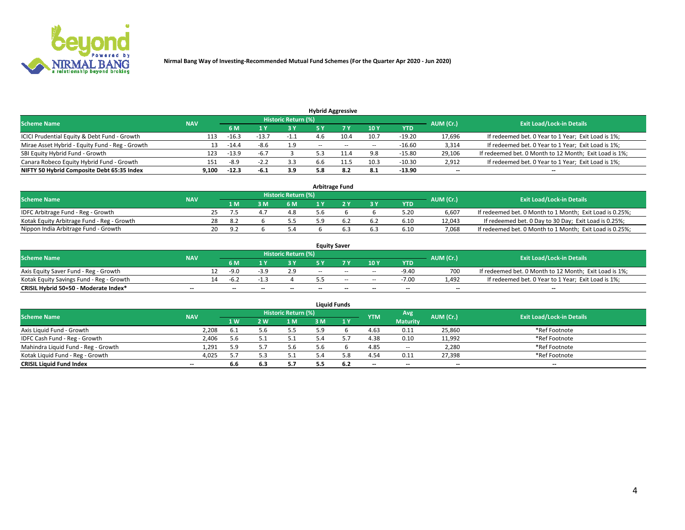

|                                                 |            |         |           |                            |                          | <b>Hybrid Aggressive</b> |        |            |           |                                                        |
|-------------------------------------------------|------------|---------|-----------|----------------------------|--------------------------|--------------------------|--------|------------|-----------|--------------------------------------------------------|
| <b>Scheme Name</b>                              | <b>NAV</b> |         |           | <b>Historic Return (%)</b> |                          |                          |        |            | AUM (Cr.) | <b>Exit Load/Lock-in Details</b>                       |
|                                                 |            | 6 M     |           | 73 V                       |                          |                          | 10Y    | <b>YTD</b> |           |                                                        |
| ICICI Prudential Equity & Debt Fund - Growth    | 113        | $-16.3$ |           | $-1.1$                     |                          | 10.4                     | 10.7   | $-19.20$   | 17,696    | If redeemed bet. 0 Year to 1 Year; Exit Load is 1%;    |
| Mirae Asset Hybrid - Equity Fund - Reg - Growth | 13         | $-14.4$ | $-8.6$    | 1.9                        | $\overline{\phantom{a}}$ | $\sim$                   | $\sim$ | $-16.60$   | 3,314     | If redeemed bet. 0 Year to 1 Year; Exit Load is 1%;    |
| SBI Equity Hybrid Fund - Growth                 | 123        | $-13.9$ | $-6.7$    |                            |                          | 11.4                     | 9.8    | $-15.80$   | 29,106    | If redeemed bet. 0 Month to 12 Month; Exit Load is 1%; |
| Canara Robeco Equity Hybrid Fund - Growth       | 151        | -8.9    | ـ ـ ـ ـ − | 3.3                        | 6.6                      | 11.5                     | 10.3   | $-10.30$   | 2,912     | If redeemed bet. 0 Year to 1 Year; Exit Load is 1%;    |
| NIFTY 50 Hybrid Composite Debt 65:35 Index      | 9,100      | $-12.3$ | -6.1      | 3.9                        | 5.8                      | 8.2                      | 8.1    | $-13.90$   | $- -$     | $\overline{\phantom{a}}$                               |

| <b>Arbitrage Fund</b>                      |            |    |       |    |                            |     |  |       |            |           |                                                          |  |  |
|--------------------------------------------|------------|----|-------|----|----------------------------|-----|--|-------|------------|-----------|----------------------------------------------------------|--|--|
| <b>Scheme Name</b>                         | <b>NAV</b> |    |       |    | <b>Historic Return (%)</b> |     |  |       |            | AUM (Cr.) | <b>Exit Load/Lock-in Details</b>                         |  |  |
|                                            |            |    | 1 M   | ιM | 6 M                        |     |  | $-3V$ | <b>YTD</b> |           |                                                          |  |  |
| IDFC Arbitrage Fund - Reg - Growth         |            |    |       |    | 4.8                        | 5.6 |  |       | 5.20       | 6.607     | If redeemed bet. 0 Month to 1 Month; Exit Load is 0.25%; |  |  |
| Kotak Equity Arbitrage Fund - Reg - Growth |            | 28 | 8.2   |    |                            |     |  |       | 6.10       | 12.043    | If redeemed bet. 0 Day to 30 Day; Exit Load is 0.25%;    |  |  |
| Nippon India Arbitrage Fund - Growth       |            | 20 | - Q 7 |    |                            |     |  | 6.3   | 6.10       | 7.068     | If redeemed bet. 0 Month to 1 Month; Exit Load is 0.25%; |  |  |

| <b>Equity Saver</b>                      |            |    |      |    |                            |       |        |        |            |                          |                                                        |  |  |
|------------------------------------------|------------|----|------|----|----------------------------|-------|--------|--------|------------|--------------------------|--------------------------------------------------------|--|--|
| <b>Scheme Name</b>                       | <b>NAV</b> |    |      |    | <b>Historic Return (%)</b> |       |        |        |            | AUM (Cr.)                | <b>Exit Load/Lock-in Details</b>                       |  |  |
|                                          |            |    | 6 M  |    | o v                        |       |        | 10Y    | <b>YTD</b> |                          |                                                        |  |  |
| Axis Equity Saver Fund - Reg - Growth    |            |    | -9.0 |    |                            | $- -$ | $-$    | $\sim$ | $-9.40$    | 700                      | If redeemed bet. 0 Month to 12 Month; Exit Load is 1%; |  |  |
| Kotak Equity Savings Fund - Reg - Growth |            | 14 | -6.2 |    |                            |       | $\sim$ | $\sim$ | $-7.00$    | 4.492                    | If redeemed bet. 0 Year to 1 Year; Exit Load is 1%;    |  |  |
| CRISIL Hybrid 50+50 - Moderate Index*    | $- -$      |    | --   | -- | $- -$                      | $- -$ | $\sim$ | $-$    | $-$        | $\overline{\phantom{a}}$ | $-$                                                    |  |  |

| <b>Liquid Funds</b>                 |                          |      |     |                            |    |     |            |                 |           |                                  |  |  |  |
|-------------------------------------|--------------------------|------|-----|----------------------------|----|-----|------------|-----------------|-----------|----------------------------------|--|--|--|
| <b>Scheme Name</b>                  | <b>NAV</b>               |      |     | <b>Historic Return (%)</b> |    |     | <b>YTM</b> | Avg             | AUM (Cr.) | <b>Exit Load/Lock-in Details</b> |  |  |  |
|                                     |                          | 1W   | 2 W | 1 M                        | ١M | 1 V |            | <b>Maturity</b> |           |                                  |  |  |  |
| Axis Liquid Fund - Growth           | 2,208                    | -6.1 |     | 5.5                        | 50 |     | 4.63       | 0.11            | 25,860    | *Ref Footnote                    |  |  |  |
| IDFC Cash Fund - Reg - Growth       | 2,406                    | 5.6  |     | 5.1                        |    |     | 4.38       | 0.10            | 11,992    | *Ref Footnote                    |  |  |  |
| Mahindra Liquid Fund - Reg - Growth | 1,291                    | 5.9  |     | 5.6                        |    |     | 4.85       | $\sim$          | 2,280     | *Ref Footnote                    |  |  |  |
| Kotak Liguid Fund - Reg - Growth    | 4,025                    | 57   |     | 5.1                        |    | 5.8 | 4.54       | 0.11            | 27,398    | *Ref Footnote                    |  |  |  |
| <b>CRISIL Liquid Fund Index</b>     | $\overline{\phantom{a}}$ | 6.6  | 6.3 | 5.7                        |    | 6.2 | $-$        | $- -$           | $- -$     | $- -$                            |  |  |  |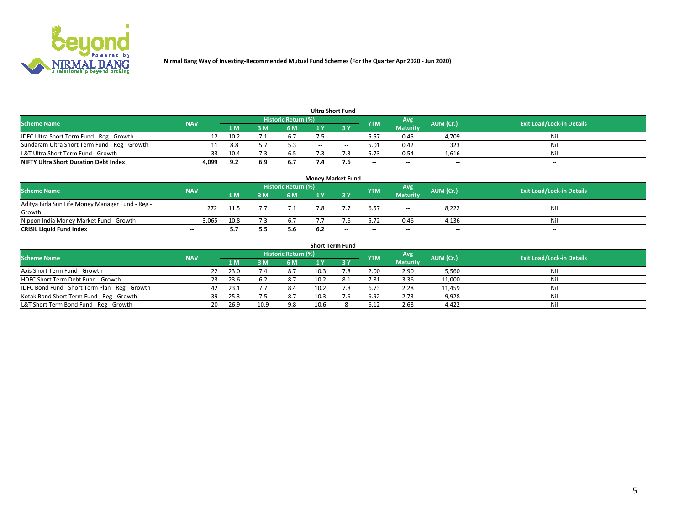

| <b>Ultra Short Fund</b>                       |            |      |     |                     |     |     |            |                          |           |                                  |  |  |  |  |
|-----------------------------------------------|------------|------|-----|---------------------|-----|-----|------------|--------------------------|-----------|----------------------------------|--|--|--|--|
| <b>Scheme Name</b>                            | <b>NAV</b> |      |     | Historic Return (%) |     |     | <b>YTM</b> | Avg                      | AUM (Cr.) | <b>Exit Load/Lock-in Details</b> |  |  |  |  |
|                                               |            | 1 M  | м   | 6 M                 |     | ע כ |            | <b>Maturity</b>          |           |                                  |  |  |  |  |
| IDFC Ultra Short Term Fund - Reg - Growth     |            | 10.2 |     |                     |     | --  | 5.57       | 0.45                     | 4,709     | Nil                              |  |  |  |  |
| Sundaram Ultra Short Term Fund - Reg - Growth |            | 8.8  |     | 5.3                 | $-$ | $-$ | 5.01       | 0.42                     | 323       | Nil                              |  |  |  |  |
| L&T Ultra Short Term Fund - Growth            | 33         | 10.4 |     | 6.5                 |     |     | 5.73       | 0.54                     | 1,616     | Nil                              |  |  |  |  |
| <b>NIFTY Ultra Short Duration Debt Index</b>  | 4,099      | 9.2  | 6.9 | 6.7                 |     | 7.6 | $-$        | $\overline{\phantom{a}}$ | $-$       | $-$                              |  |  |  |  |

| <b>Money Market Fund</b>                         |            |      |     |                            |     |                          |            |                          |           |                                  |  |  |  |
|--------------------------------------------------|------------|------|-----|----------------------------|-----|--------------------------|------------|--------------------------|-----------|----------------------------------|--|--|--|
| <b>Scheme Name</b>                               | <b>NAV</b> |      |     | <b>Historic Return (%)</b> |     |                          | <b>YTM</b> | Avg                      | AUM (Cr.) | <b>Exit Load/Lock-in Details</b> |  |  |  |
|                                                  |            | '1 M | 3 M | 6 M                        |     | 2 V                      |            | <b>Maturity</b>          |           |                                  |  |  |  |
| Aditya Birla Sun Life Money Manager Fund - Reg - | 272        | 11.5 |     |                            |     |                          | 6.57       | $\sim$                   | 8,222     | Nil                              |  |  |  |
| Growth                                           |            |      |     |                            |     |                          |            |                          |           |                                  |  |  |  |
| Nippon India Money Market Fund - Growth          | 3.065      | 10.8 |     | 6.7                        |     |                          | 5.72       | 0.46                     | 4,136     | Nil                              |  |  |  |
| <b>CRISIL Liquid Fund Index</b>                  | $- -$      | 5.7  | 5.5 | 5.6                        | 6.2 | $\overline{\phantom{a}}$ | $-$        | $\overline{\phantom{a}}$ | $- -$     | $-$                              |  |  |  |

| <b>Short Term Fund</b>                          |            |     |      |      |                            |      |  |            |                 |           |                                  |  |  |
|-------------------------------------------------|------------|-----|------|------|----------------------------|------|--|------------|-----------------|-----------|----------------------------------|--|--|
| <b>Scheme Name</b>                              | <b>NAV</b> |     |      |      | <b>Historic Return (%)</b> |      |  | <b>YTM</b> | Avg             | AUM (Cr.) | <b>Exit Load/Lock-in Details</b> |  |  |
|                                                 |            |     | 1 M  | 3 M  | 6 M                        |      |  |            | <b>Maturity</b> |           |                                  |  |  |
| Axis Short Term Fund - Growth                   |            | 22  | 23.0 |      | 8.7                        | 10.3 |  | 2.00       | 2.90            | 5,560     | Nil                              |  |  |
| HDFC Short Term Debt Fund - Growth              |            | 23. | 23.6 |      | 8.7                        | 10.2 |  | 7.81       | 3.36            | 11,000    | Nil                              |  |  |
| IDFC Bond Fund - Short Term Plan - Reg - Growth |            | 42  | 23.1 |      | 8.4                        | 10.2 |  | 6.73       | 2.28            | 11,459    | Nil                              |  |  |
| Kotak Bond Short Term Fund - Reg - Growth       |            | 39  | 25.3 |      | 8.7                        | 10.3 |  | 6.92       | 2.73            | 9,928     | Nil                              |  |  |
| L&T Short Term Bond Fund - Reg - Growth         |            | 20. | 26.9 | 10.9 | 9.8                        | 10.6 |  | 6.12       | 2.68            | 4,422     | Nil                              |  |  |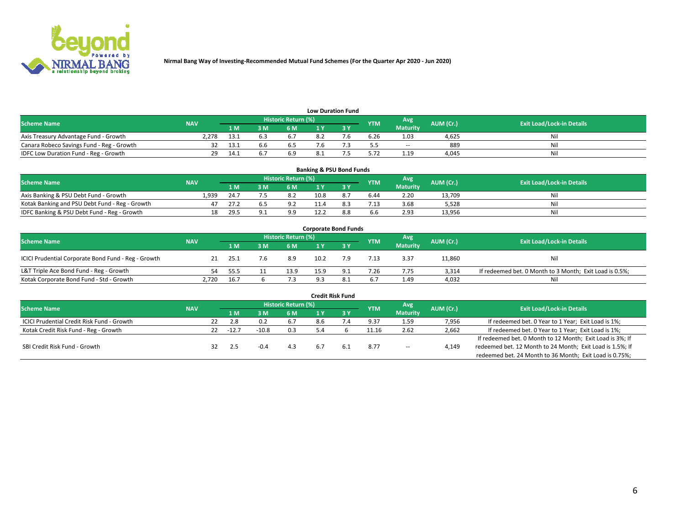

| <b>Low Duration Fund</b>                  |            |       |     |                            |  |     |            |                 |           |                                  |  |  |  |  |
|-------------------------------------------|------------|-------|-----|----------------------------|--|-----|------------|-----------------|-----------|----------------------------------|--|--|--|--|
| <b>Scheme Name</b>                        | <b>NAV</b> |       |     | <b>Historic Return (%)</b> |  |     | <b>YTM</b> | Avg             | AUM (Cr.) | <b>Exit Load/Lock-in Details</b> |  |  |  |  |
|                                           |            | 1 M . | 3 M | 6 M                        |  | י פ |            | <b>Maturity</b> |           |                                  |  |  |  |  |
| Axis Treasury Advantage Fund - Growth     | 2.278      | 13.1  |     |                            |  |     | 6.26       | 1.03            | 4.625     | Nil                              |  |  |  |  |
| Canara Robeco Savings Fund - Reg - Growth |            | 13.1  |     |                            |  |     | ,,         | $\sim$          | 889       | Nil                              |  |  |  |  |
| IDFC Low Duration Fund - Reg - Growth     | 29         | 14.1  |     | 6.9                        |  |     | 5.72       | 1.19            | 4.045     | Nil                              |  |  |  |  |

| <b>Banking &amp; PSU Bond Funds</b>            |            |      |     |                            |      |     |            |                 |           |                                  |  |  |  |
|------------------------------------------------|------------|------|-----|----------------------------|------|-----|------------|-----------------|-----------|----------------------------------|--|--|--|
| <b>Scheme Name</b>                             | <b>NAV</b> |      |     | <b>Historic Return (%)</b> |      |     | <b>YTM</b> | Avg             | AUM (Cr.) | <b>Exit Load/Lock-in Details</b> |  |  |  |
|                                                |            | 1 M  | 3 M | 6 M                        |      |     |            | <b>Maturity</b> |           |                                  |  |  |  |
| Axis Banking & PSU Debt Fund - Growth          | 1.939      | 24.7 |     | 8.2                        | 10.8 |     | 6.44       | 2.20            | 13.709    | Nil                              |  |  |  |
| Kotak Banking and PSU Debt Fund - Reg - Growth |            | 27.2 |     | 9.2                        |      |     | 7.13       | 3.68            | 5.528     | Nil                              |  |  |  |
| IDFC Banking & PSU Debt Fund - Reg - Growth    | 18         | 29.5 |     | 9.9                        |      | 8.8 | 6.6        | 2.93            | 13,956    | Nil                              |  |  |  |

| <b>Corporate Bond Funds</b>                         |            |      |  |                     |      |      |            |                 |           |                                                         |  |  |  |  |
|-----------------------------------------------------|------------|------|--|---------------------|------|------|------------|-----------------|-----------|---------------------------------------------------------|--|--|--|--|
| <b>Scheme Name</b>                                  | <b>NAV</b> |      |  | Historic Return (%) |      |      | <b>YTM</b> | Avg             | AUM (Cr.) | <b>Exit Load/Lock-in Details</b>                        |  |  |  |  |
|                                                     |            | 4 M  |  | 6 M                 |      |      |            | <b>Maturity</b> |           |                                                         |  |  |  |  |
| ICICI Prudential Corporate Bond Fund - Reg - Growth |            | 25.1 |  | 8.9                 | 10.2 | 7.9  | 7.13       | 3.37            | 11,860    | Nil                                                     |  |  |  |  |
| L&T Triple Ace Bond Fund - Reg - Growth             | 54         | 55.5 |  | 13.9                | 15.9 | Q 1  | 7.26       | 7.75            | 3.314     | If redeemed bet. 0 Month to 3 Month; Exit Load is 0.5%; |  |  |  |  |
| Kotak Corporate Bond Fund - Std - Growth            | 2,720      | 16.7 |  | د. آ                | α    | ð. 1 | 6.7        | 1.49            | 4,032     | Nil                                                     |  |  |  |  |

| <b>Credit Risk Fund</b>                    |            |    |        |         |                            |     |     |            |                        |           |                                                           |  |  |
|--------------------------------------------|------------|----|--------|---------|----------------------------|-----|-----|------------|------------------------|-----------|-----------------------------------------------------------|--|--|
| <b>Scheme Name</b>                         | <b>NAV</b> |    |        |         | <b>Historic Return (%)</b> |     |     | <b>YTM</b> | Avg<br><b>Maturity</b> | AUM (Cr.) | <b>Exit Load/Lock-in Details</b>                          |  |  |
|                                            |            |    |        | 3 M     | 6 M                        |     | 3 Y |            |                        |           |                                                           |  |  |
| ICICI Prudential Credit Risk Fund - Growth |            | 22 | 2.8    |         | 6.7                        | 8.6 |     | 9.37       | 1.59                   | 7,956     | If redeemed bet. 0 Year to 1 Year; Exit Load is 1%;       |  |  |
| Kotak Credit Risk Fund - Reg - Growth      |            | 22 | $-12.$ | $-10.8$ | 0.3                        |     |     | 11.16      | 2.62                   | 2,662     | If redeemed bet. 0 Year to 1 Year; Exit Load is 1%;       |  |  |
|                                            |            |    |        |         |                            |     |     |            |                        |           | If redeemed bet. 0 Month to 12 Month; Exit Load is 3%; If |  |  |
| SBI Credit Risk Fund - Growth              |            |    |        |         | 4.3                        | b.7 | 6.1 | 8.77       | $\sim$                 | 4,149     | redeemed bet. 12 Month to 24 Month; Exit Load is 1.5%; If |  |  |
|                                            |            |    |        |         |                            |     |     |            |                        |           | redeemed bet. 24 Month to 36 Month; Exit Load is 0.75%;   |  |  |